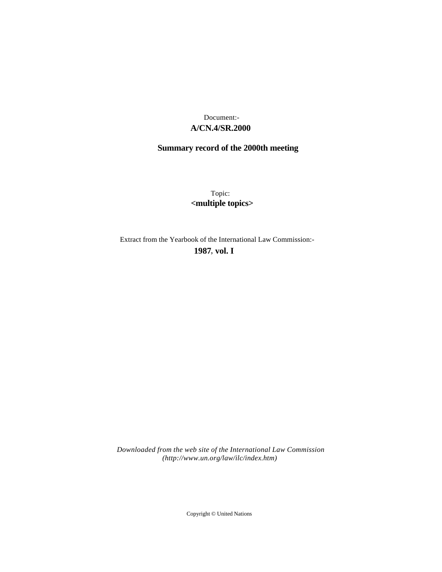# **A/CN.4/SR.2000** Document:-

# **Summary record of the 2000th meeting**

Topic: **<multiple topics>**

Extract from the Yearbook of the International Law Commission:-

**1987** , **vol. I**

*Downloaded from the web site of the International Law Commission (http://www.un.org/law/ilc/index.htm)*

Copyright © United Nations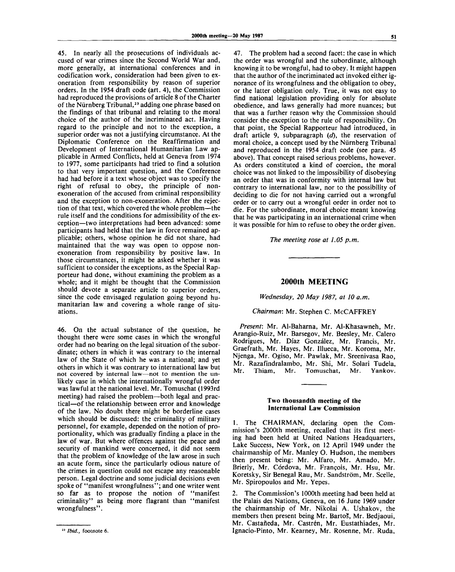45. In nearly all the prosecutions of individuals accused of war crimes since the Second World War and, more generally, at international conferences and in codification work, consideration had been given to exoneration from responsibility by reason of superior orders. In the 1954 draft code (art. 4), the Commission had reproduced the provisions of article 8 of the Charter of the Niirnberg Tribunal,<sup>23</sup> adding one phrase based on the findings of that tribunal and relating to the moral choice of the author of the incriminated act. Having regard to the principle and not to the exception, a superior order was not a justifying circumstance. At the Diplomatic Conference on the Reaffirmation and Development of International Humanitarian Law applicable in Armed Conflicts, held at Geneva from 1974 to 1977, some participants had tried to find a solution to that very important question, and the Conference had had before it a text whose object was to specify the right of refusal to obey, the principle of nonexoneration of the accused from criminal responsibility and the exception to non-exoneration. After the rejection of that text, which covered the whole problem—the rule itself and the conditions for admissibility of the exception—two interpretations had been advanced: some participants had held that the law in force remained applicable; others, whose opinion he did not share, had maintained that the way was open to oppose nonexoneration from responsibility by positive law. In those circumstances, it might be asked whether it was sufficient to consider the exceptions, as the Special Rapporteur had done, without examining the problem as a whole; and it might be thought that the Commission should devote a separate article to superior orders, since the code envisaged regulation going beyond humanitarian law and covering a whole range of situations.

46. On the actual substance of the question, he thought there were some cases in which the wrongful order had no bearing on the legal situation of the subordinate; others in which it was contrary to the internal law of the State of which he was a national; and yet others in which it was contrary to international law but not covered by internal law—not to mention the unlikely case in which the internationally wrongful order was lawful at the national level. Mr. Tomuschat (1993rd meeting) had raised the problem—both legal and practical—of the relationship between error and knowledge of the law. No doubt there might be borderline cases which should be discussed: the criminality of military personnel, for example, depended on the notion of proportionality, which was gradually finding a place in the law of war. But where offences against the peace and security of mankind were concerned, it did not seem that the problem of knowledge of the law arose in such an acute form, since the particularly odious nature of the crimes in question could not escape any reasonable person. Legal doctrine and some judicial decisions even spoke of "manifest wrongfulness"; and one writer went so far as to propose the notion of "manifest criminality" as being more flagrant than "manifest wrongfulness".

47. The problem had a second facet: the case in which the order was wrongful and the subordinate, although knowing it to be wrongful, had to obey. It might happen that the author of the incriminated act invoked either ignorance of its wrongfulness and the obligation to obey, or the latter obligation only. True, it was not easy to find national legislation providing only for absolute obedience, and laws generally had more nuances; but that was a further reason why the Commission should consider the exception to the rule of responsibility. On that point, the Special Rapporteur had introduced, in draft article 9, subparagraph *(d),* the reservation of moral choice, a concept used by the Niirnberg Tribunal and reproduced in the 1954 draft code (see para. 45 above). That concept raised serious problems, however. As orders constituted a kind of coercion, the moral choice was not linked to the impossibility of disobeying an order that was in conformity with internal law but contrary to international law, nor to the possibility of deciding to die for not having carried out a wrongful order or to carry out a wrongful order in order not to die. For the subordinate, moral choice meant knowing that he was participating in an international crime when it was possible for him to refuse to obey the order given.

*The meeting rose at 1.05 p.m.*

### **2000th MEETING**

*Wednesday, 20 May 1987, at 10 a.m.*

# *Chairman:* Mr. Stephen C. McCAFFREY

*Present:* Mr. Al-Baharna, Mr. Al-Khasawneh, Mr. Arangio-Ruiz, Mr. Barsegov, Mr. Beesley, Mr. Calero Rodrigues, Mr. Diaz Gonzalez, Mr. Francis, Mr. Graefrath, Mr. Hayes, Mr. Illueca, Mr. Koroma, Mr. Njenga, Mr. Ogiso, Mr. Pawlak, Mr. Sreenivasa Rao, Mr. Razafindralambo, Mr. Shi, Mr. Solari Tudela, Mr. Thiam, Mr. Tomuschat, Mr. Yankov.

#### **Two thousandth meeting of the International Law Commission**

1. The CHAIRMAN, declaring open the Commission's 2000th meeting, recalled that its first meeting had been held at United Nations Headquarters, Lake Success, New York, on 12 April 1949 under the chairmanship of Mr. Manley O. Hudson, the members then present being: Mr. Alfaro, Mr. Amado, Mr. Brierly, Mr. Córdova, Mr. Francois, Mr. Hsu, Mr. Koretsky, Sir Benegal Rau, Mr. Sandström, Mr. Scelle, Mr. Spiropoulos and Mr. Yepes.

2. The Commission's 1000th meeting had been held at the Palais des Nations, Geneva, on 16 June 1969 under the chairmanship of Mr. Nikolai A. Ushakov, the members then present being Mr. Bartos, Mr. Bedjaoui, Mr. Castañeda, Mr. Castrén, Mr. Eustathiades, Mr. Ignacio-Pinto, Mr. Kearney, Mr. Rosenne, Mr. Ruda,

**<sup>23</sup>**  *Ibid.,* **footnote 6.**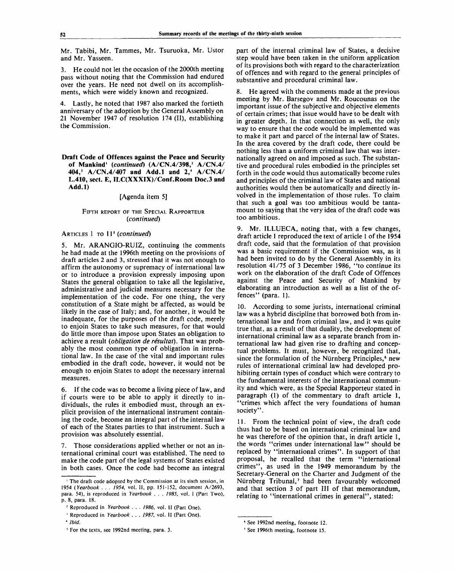Mr. Tabibi, Mr. Tammes, Mr. Tsuruoka, Mr. Ustor and Mr. Yasseen.

3. He could not let the occasion of the 2000th meeting pass without noting that the Commission had endured over the years. He need not dwell on its accomplishments, which were widely known and recognized.

4. Lastly, he noted that 1987 also marked the fortieth anniversary of the adoption by the General Assembly on 21 November 1947 of resolution 174 (II), establishing the Commission.

### [Agenda item 5]

#### FIFTH REPORT OF THE SPECIAL RAPPORTEUR *{continued)*

# ARTICLES 1 TO 11<sup>s</sup> (continued)

5. Mr. ARANGIO-RUIZ, continuing the comments he had made at the 1996th meeting on the provisions of draft articles 2 and 3, stressed that it was not enough to affirm the autonomy or supremacy of international law or to introduce a provision expressly imposing upon States the general obligation to take all the legislative, administrative and judicial measures necessary for the implementation of the code. For one thing, the very constitution of a State might be affected, as would be likely in the case of Italy; and, for another, it would be inadequate, for the purposes of the draft code, merely to enjoin States to take such measures, for that would do little more than impose upon States an obligation to achieve a result *{obligation de re'sultat).* That was probably the most common type of obligation in international law. In the case of the vital and important rules embodied in the draft code, however, it would not be enough to enjoin States to adopt the necessary internal measures.

6. If the code was to become a living piece of law, and if courts were to be able to apply it directly to individuals, the rules it embodied must, through an explicit provision of the international instrument containing the code, become an integral part of the internal law of each of the States parties to that instrument. Such a provision was absolutely essential.

7. Those considerations applied whether or not an international criminal court was established. The need to make the code part of the legal systems of States existed in both cases. Once the code had become an integral

part of the internal criminal law of States, a decisive step would have been taken in the uniform application of its provisions both with regard to the characterization of offences and with regard to the general principles of substantive and procedural criminal law.

He agreed with the comments made at the previous meeting by Mr. Barsegov and Mr. Roucounas on the important issue of the subjective and objective elements of certain crimes; that issue would have to be dealt with in greater depth. In that connection as well, the only way to ensure that the code would be implemented was to make it part and parcel of the internal law of States. In the area covered by the draft code, there could be nothing less than a uniform criminal law that was internationally agreed on and imposed as such. The substantive and procedural rules embodied in the principles set forth in the code would thus automatically become rules and principles of the criminal law of States and national authorities would then be automatically and directly involved in the implementation of those rules. To claim that such a goal was too ambitious would be tantamount to saying that the very idea of the draft code was too ambitious.

Mr. ILLUECA, noting that, with a few changes, draft article 1 reproduced the text of article 1 of the 1954 draft code, said that the formulation of that provision was a basic requirement if the Commission was, as it had been invited to do by the General Assembly in its resolution 41/75 of 3 December 1986, "to continue its work on the elaboration of the draft Code of Offences against the Peace and Security of Mankind by elaborating an introduction as well as a list of the offences" (para. 1).

10. According to some jurists, international criminal law was a hybrid discipline that borrowed both from international law and from criminal law, and it was quite true that, as a result of that duality, the development of international criminal law as a separate branch from international law had given rise to drafting and conceptual problems. It must, however, be recognized that, since the formulation of the Nürnberg Principles,<sup>6</sup> new rules of international criminal law had developed prohibiting certain types of conduct which were contrary to the fundamental interests of the international community and which were, as the Special Rapporteur stated in paragraph (1) of the commentary to draft article 1, "crimes which affect the very foundations of human society".

11. From the technical point of view, the draft code thus had to be based on international criminal law and he was therefore of the opinion that, in draft article 1, the words "crimes under international law" should be replaced by "international crimes". In support of that proposal, he recalled that the term "international crimes", as used in the 1949 memorandum by the Secretary-General on the Charter and Judgment of the Nürnberg Tribunal,<sup>7</sup> had been favourably welcomed and that section 3 of part III of that memorandum, relating to "international crimes in general", stated:

**Draft Code of Offences against the Peace and Security of Mankind<sup>1</sup>**  *{continued)* **(A/CN.4/398,<sup>2</sup> A/CN.4/ 404,<sup>3</sup> A/CN.4/407 and Add.l and 2,<sup>4</sup> A/CN.4/ L.410, sect. E, ILC(XXXIX)/Conf.Room Doc.3 and Add.l)**

<sup>1</sup> The draft code adopted by the Commission at its sixth session, in 1954 *(Yearbook . . . 1954,* vol. II, pp. 151-152, document A/2693, para. 54), is reproduced in *Yearbook . . . 1985,* vol. I (Part Two), p. 8, para. 18.

<sup>2</sup> Reproduced in *Yearbook . . . 1986,* vol. II (Part One).

<sup>3</sup> Reproduced in *Yearbook . . . 1987,* vol. II (Part One).

<sup>4</sup>  *Ibid.*

<sup>5</sup> For the texts, see 1992nd meeting, para. 3.

<sup>6</sup> See 1992nd meeting, footnote 12.

<sup>7</sup> See 1996th meeting, footnote 15.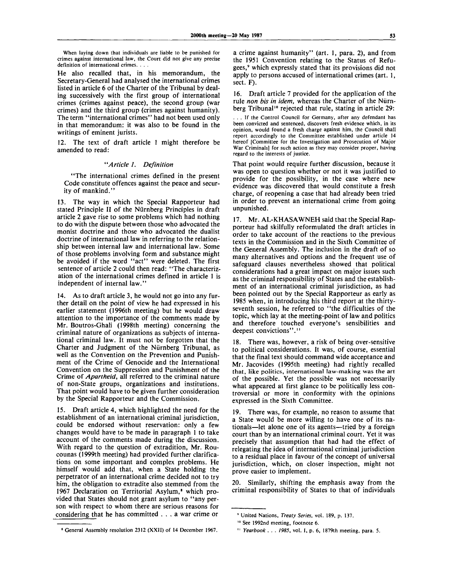When laying down that individuals are liable to be punished for crimes against international law, the Court did not give any precise definition of international crimes. . . .

He also recalled that, in his memorandum, the Secretary-General had analysed the international crimes listed in article 6 of the Charter of the Tribunal by dealing successively with the first group of international crimes (crimes against peace), the second group (war crimes) and the third group (crimes against humanity). The term "international crimes" had not been used only in that memorandum: it was also to be found in the writings of eminent jurists.

12. The text of draft article 1 might therefore be amended to read:

### *"Article 1. Definition*

"The international crimes defined in the present Code constitute offences against the peace and security of mankind."

13. The way in which the Special Rapporteur had stated Principle II of the Niirnberg Principles in draft article 2 gave rise to some problems which had nothing to do with the dispute between those who advocated the monist doctrine and those who advocated the dualist doctrine of international law in referring to the relationship between internal law and international law. Some of those problems involving form and substance might be avoided if the word "act" were deleted. The first sentence of article 2 could then read: "The characterization of the international crimes defined in article 1 is independent of internal law."

14. As to draft article 3, he would not go into any further detail on the point of view he had expressed in his earlier statement (1996th meeting) but he would draw attention to the importance of the comments made by Mr. Boutros-Ghali (1998th meeting) concerning the criminal nature of organizations as subjects of international criminal law. It must not be forgotten that the Charter and Judgment of the Niirnberg Tribunal, as well as the Convention on the Prevention and Punishment of the Crime of Genocide and the International Convention on the Suppression and Punishment of the Crime of *Apartheid,* all referred to the criminal nature of non-State groups, organizations and institutions. That point would have to be given further consideration by the Special Rapporteur and the Commission.

15. Draft article 4, which highlighted the need for the establishment of an international criminal jurisdiction, could be endorsed without reservation: only a few changes would have to be made in paragraph 1 to take account of the comments made during the discussion. With regard to the question of extradition, Mr. Roucounas (1999th meeting) had provided further clarifications on some important and complex problems. He himself would add that, when a State holding the perpetrator of an international crime decided not to try him, the obligation to extradite also stemmed from the 1967 Declaration on Territorial Asylum,<sup>8</sup> which provided that States should not grant asylum to "any person with respect to whom there are serious reasons for considering that he has committed .. . a war crime or

a crime against humanity" (art. 1, para. 2), and from the 1951 Convention relating to the Status of Refugees,<sup>9</sup> which expressly stated that its provisions did not apply to persons accused of international crimes (art. 1, sect. F).

16. Draft article 7 provided for the application of the rule *non bis in idem,* whereas the Charter of the Niirnberg Tribunal<sup>10</sup> rejected that rule, stating in article 29:

.. If the Control Council for Germany, after any defendant has been convicted and sentenced, discovers fresh evidence which, in its opinion, would found a fresh charge against him, the Council shall report accordingly to the Committee established under article 14 hereof ICommittee for the Investigation and Prosecution of Major War Criminals] for such action as they may consider proper, having regard to the interests of justice.

That point would require further discussion, because it was open to question whether or not it was justified to provide for the possibility, in the case where new evidence was discovered that would constitute a fresh charge, of reopening a case that had already been tried in order to prevent an international crime from going unpunished.

17. Mr. AL-KHASAWNEH said that the Special Rapporteur had skilfully reformulated the draft articles in order to take account of the reactions to the previous texts in the Commission and in the Sixth Committee of the General Assembly. The inclusion in the draft of so many alternatives and options and the frequent use of safeguard clauses nevertheless showed that political considerations had a great impact on major issues such as the criminal responsibility of States and the establishment of an international criminal jurisdiction, as had been pointed out by the Special Rapporteur as early as 1985 when, in introducing his third report at the thirtyseventh session, he referred to "the difficulties of the topic, which lay at the meeting-point of law and politics and therefore touched everyone's sensibilities and deepest convictions"."

18. There was, however, a risk of being over-sensitive to political considerations. It was, of course, essential that the final text should command wide acceptance and Mr. Jacovides (1995th meeting) had rightly recalled that, like politics, international law-making was the art of the possible. Yet the possible was not necessarily what appeared at first glance to be politically less controversial or more in conformity with the opinions expressed in the Sixth Committee.

19. There was, for example, no reason to assume that a State would be more willing to have one of its nationals—let alone one of its agents—tried by a foreign court than by an international criminal court. Yet it was precisely that assumption that had had the effect of relegating the idea of international criminal jurisdiction to a residual place in favour of the concept of universal jurisdiction, which, on closer inspection, might not prove easier to implement.

20. Similarly, shifting the emphasis away from the criminal responsibility of States to that of individuals

1 General Assembly resolution 2312 (XXII) of 14 December 1967.

<sup>9</sup> United Nations, *Treaty Series,* vol. 189, p. 137.

<sup>&</sup>lt;sup>10</sup> See 1992nd meeting, footnote 6.

<sup>&</sup>quot; *Yearbook . . . 1985,* vol. I, p. 6, 1879th meeting, para. 5.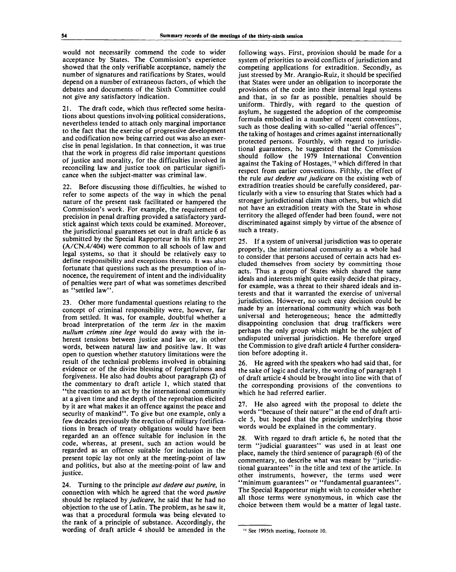would not necessarily commend the code to wider acceptance by States. The Commission's experience showed that the only verifiable acceptance, namely the number of signatures and ratifications by States, would depend on a number of extraneous factors, of which the debates and documents of the Sixth Committee could not give any satisfactory indication.

21. The draft code, which thus reflected some hesitations about questions involving political considerations, nevertheless tended to attach only marginal importance to the fact that the exercise of progressive development and codification now being carried out was also an exercise in penal legislation. In that connection, it was true that the work in progress did raise important questions of justice and morality, for the difficulties involved in reconciling law and justice took on particular significance when the subject-matter was criminal law.

22. Before discussing those difficulties, he wished to refer to some aspects of the way in which the penal nature of the present task facilitated or hampered the Commission's work. For example, the requirement of precision in penal drafting provided a satisfactory yardstick against which texts could be examined. Moreover, the jurisdictional guarantees set out in draft article 6 as submitted by the Special Rapporteur in his fifth report (A/CN.4/404) were common to all schools of law and legal systems, so that it should be relatively easy to define responsibility and exceptions thereto. It was also fortunate that questions such as the presumption of innocence, the requirement of intent and the individuality of penalties were part of what was sometimes described as ''settled law".

23. Other more fundamental questions relating to the concept of criminal responsibility were, however, far from settled. It was, for example, doubtful whether a broad interpretation of the term *lex* in the maxim *nullum crimen sine lege* would do away with the inherent tensions between justice and law or, in other words, between natural law and positive law. It was open to question whether statutory limitations were the result of the technical problems involved in obtaining evidence or of the divine blessing of forgetfulness and forgiveness. He also had doubts about paragraph (2) of the commentary to draft article 1, which stated that "the reaction to an act by the international community at a given time and the depth of the reprobation elicited by it are what makes it an offence against the peace and security of mankind". To give but one example, only a few decades previously the erection of military fortifications in breach of treaty obligations would have been regarded an an offence suitable for inclusion in the code, whereas, at present, such an action would be regarded as an offence suitable for inclusion in the present topic lay not only at the meeting-point of law and politics, but also at the meeting-point of law and justice.

24. Turning to the principle *aut dedere aut punire,* in connection with which he agreed that the word *punire* should be replaced by *judicare,* he said that he had no objection to the use of Latin. The problem, as he saw it, was that a procedural formula was being elevated to the rank of a principle of substance. Accordingly, the wording of draft article 4 should be amended in the

following ways. First, provision should be made for a system of priorities to avoid conflicts of jurisdiction and competing applications for extradition. Secondly, as just stressed by Mr. Arangio-Ruiz, it should be specified that States were under an obligation to incorporate the provisions of the code into their internal legal systems and that, in so far as possible, penalties should be uniform. Thirdly, with regard to the question of asylum, he suggested the adoption of the compromise formula embodied in a number of recent conventions, such as those dealing with so-called "aerial offences" the taking of hostages and crimes against internationally protected persons. Fourthly, with regard to jurisdictional guarantees, he suggested that the Commission should follow the 1979 International Convention against the Taking of Hostages,<sup>12</sup> which differed in that respect from earlier conventions. Fifthly, the effect of the rule *aut dedere aut judicare* on the existing web of extradition treaties should be carefully considered, particularly with a view to ensuring that States which had a stronger jurisdictional claim than others, but which did not have an extradition treaty with the State in whose territory the alleged offender had been found, were not discriminated against simply by virtue of the absence of such a treaty.

25. If a system of universal jurisdiction was to operate properly, the international community as a whole had to consider that persons accused of certain acts had excluded themselves from society by committing those acts. Thus a group of States which shared the same ideals and interests might quite easily decide that piracy, for example, was a threat to their shared ideals and interests and that it warranted the exercise of universal jurisdiction. However, no such easy decision could be made by an international community which was both universal and heterogeneous; hence the admittedly disappointing conclusion that drug traffickers were perhaps the only group which might be the subject of undisputed universal jurisdiction. He therefore urged the Commission to give draft article 4 further consideration before adopting it.

26. He agreed with the speakers who had said that, for the sake of logic and clarity, the wording of paragraph 1 of draft article 4 should be brought into line with that of the corresponding provisions of the conventions to which he had referred earlier.

27. He also agreed with the proposal to delete the words "because of their nature" at the end of draft article 5, but hoped that the principle underlying those words would be explained in the commentary.

28. With regard to draft article 6, he noted that the term "judicial guarantees" was used in at least one place, namely the third sentence of paragraph (6) of the commentary, to describe what was meant by "jurisdictional guarantees" in the title and text of the article. In other instruments, however, the terms used were "minimum guarantees" or "fundamental guarantees". The Special Rapporteur might wish to consider whether all those terms were synonymous, in which case the choice between them would be a matter of legal taste.

<sup>&</sup>lt;sup>12</sup> See 1995th meeting, footnote 10.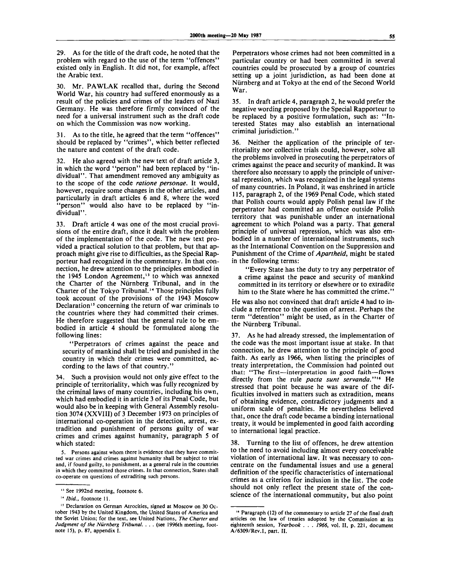29. As for the title of the draft code, he noted that the problem with regard to the use of the term "offences" existed only in English. It did not, for example, affect the Arabic text.

30. Mr. PAWLAK recalled that, during the Second World War, his country had suffered enormously as a result of the policies and crimes of the leaders of Nazi Germany. He was therefore firmly convinced of the need for a universal instrument such as the draft code on which the Commission was now working.

31. As to the title, he agreed that the term "offences" should be replaced by "crimes", which better reflected the nature and content of the draft code.

32. He also agreed with the new text of draft article 3, in which the word "person" had been replaced by "individual". That amendment removed any ambiguity as to the scope of the code *ratione personae.* It would, however, require some changes in the other articles, and particularly in draft articles 6 and 8, where the word 'person'' would also have to be replaced by "individual".

33. Draft article 4 was one of the most crucial provisions of the entire draft, since it dealt with the problem of the implementation of the code. The new text provided a practical solution to that problem, but that approach might give rise to difficulties, as the Special Rapporteur had recognized in the commentary. In that connection, he drew attention to the principles embodied in the 1945 London Agreement,<sup>13</sup> to which was annexed the Charter of the Niirnberg Tribunal, and in the Charter of the Tokyo Tribunal.<sup>14</sup> Those principles fully took account of the provisions of the 1943 Moscow Declaration<sup>15</sup> concerning the return of war criminals to the countries where they had committed their crimes. He therefore suggested that the general rule to be embodied in article 4 should be formulated along the following lines:

"Perpetrators of crimes against the peace and security of mankind shall be tried and punished in the country in which their crimes were committed, according to the laws of that country.'

34. Such a provision would not only give effect to the principle of territoriality, which was fully recognized by the criminal laws of many countries, including his own, which had embodied it in article 3 of its Penal Code, but would also be in keeping with General Assembly resolution 3074 (XXVIII) of 3 December 1973 on principles of international co-operation in the detection, arrest, extradition and punishment of persons guilty of war crimes and crimes against humanity, paragraph 5 of which stated:

Perpetrators whose crimes had not been committed in a particular country or had been committed in several countries could be prosecuted by a group of countries setting up a joint jurisdiction, as had been done at Niirnberg and at Tokyo at the end of the Second World War.

35. In draft article 4, paragraph 2, he would prefer the negative wording proposed by the Special Rapporteur to be replaced by a positive formulation, such as: "Interested States may also establish an international criminal jurisdiction."

36. Neither the application of the principle of territoriality nor collective trials could, however, solve all the problems involved in prosecuting the perpetrators of crimes against the peace and security of mankind. It was therefore also necessary to apply the principle of universal repression, which was recognized in the legal systems of many countries. In Poland, it was enshrined in article 115, paragraph 2, of the 1969 Penal Code, which stated that Polish courts would apply Polish penal law if the perpetrator had committed an offence outside Polish territory that was punishable under an international agreement to which Poland was a party. That general principle of universal repression, which was also embodied in a number of international instruments, such as the International Convention on the Suppression and Punishment of the Crime of *Apartheid,* might be stated in the following terms:

"Every State has the duty to try any perpetrator of a crime against the peace and security of mankind committed in its territory or elsewhere or to extradite him to the State where he has committed the crime."

He was also not convinced that draft article 4 had to include a reference to the question of arrest. Perhaps the term "detention" might be used, as in the Charter of the Niirnberg Tribunal.

37. As he had already stressed, the implementation of the code was the most important issue at stake. In that connection, he drew attention to the principle of good faith. As early as 1966, when listing the principles of treaty interpretation, the Commission had pointed out that: "The first—interpretation in good faith—flows directly from the rule *pacta sunt servanda."<sup>16</sup>* He stressed that point because he was aware of the difficulties involved in matters such as extradition, means of obtaining evidence, contradictory judgments and a uniform scale of penalties. He nevertheless believed that, once the draft code became a binding international treaty, it would be implemented in good faith according to international legal practice.

38. Turning to the list of offences, he drew attention to the need to avoid including almost every conceivable violation of international law. It was necessary to concentrate on the fundamental issues and use a general definition of the specific characteristics of international crimes as a criterion for inclusion in the list. The code should not only reflect the present state of the conscience of the international community, but also point

<sup>5.</sup> Persons against whom there is evidence that they have committed war crimes and crimes against humanity shall be subject to trial and, if found guilty, to punishment, as a general rule in the countries in which they committed those crimes. In that connection, States shall co-operate on questions of extraditing such persons.

<sup>13</sup> See 1992nd meeting, footnote 6.

<sup>14</sup>  *Ibid.,* footnote 11.

<sup>15</sup> Declaration on German Atrocities, signed at Moscow on 30 October 1943 by the United Kingdom, the United States of America and the Soviet Union; for the text, see United Nations, *The Charter and Judgment of the Niirnberg Tribunal. . . .* (see 1996th meeting, footnote 15), p. 87, appendix I.

<sup>16</sup> Paragraph (12) of the commentary to article 27 of the final draft articles on the law of treaties adopted by the Commission at its eighteenth session, *Yearbook . . . 1966,* vol. II, p. 221, document A/6309/Rev.l, part. II.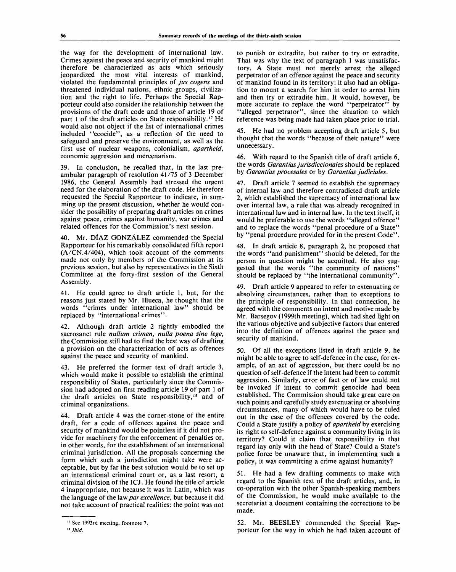the way for the development of international law. Crimes against the peace and security of mankind might therefore be characterized as acts which seriously jeopardized the most vital interests of mankind, violated the fundamental principles of *jus cogens* and threatened individual nations, ethnic groups, civilization and the right to life. Perhaps the Special Rapporteur could also consider the relationship between the provisions of the draft code and those of article 19 of part 1 of the draft articles on State responsibility.<sup>17</sup> He would also not object if the list of international crimes included "ecocide", as a reflection of the need to safeguard and preserve the environment, as well as the first use of nuclear weapons, colonialism, *apartheid,* economic aggression and mercenarism.

In conclusion, he recalled that, in the last preambular paragraph of resolution 41/75 of 3 December 1986, the General Assembly had stressed the urgent need for the elaboration of the draft code. He therefore requested the Special Rapporteur to indicate, in summing up the present discussion, whether he would consider the possibility of preparing draft articles on crimes against peace, crimes against humanity, war crimes and related offences for the Commission's next session.

40. Mr. DIAZ GONZALEZ commended the Special Rapporteur for his remarkably consolidated fifth report (A/CN.4/404), which took account of the comments made not only by members of the Commission at its previous session, but also by representatives in the Sixth Committee at the forty-first session of the General Assembly.

41. He could agree to draft article 1, but, for the reasons just stated by Mr. Illueca, he thought that the words "crimes under international law" should be replaced by "international crimes".

42. Although draft article 2 rightly embodied the sacrosanct rule *nullum crimen, nulla poena sine lege,* the Commission still had to find the best way of drafting a provision on the characterization of acts as offences against the peace and security of mankind.

43. He preferred the former text of draft article 3, which would make it possible to establish the criminal responsibility of States, particularly since the Commission had adopted on first reading article 19 of part 1 of the draft articles on State responsibility,<sup>18</sup> and of criminal organizations.

44. Draft article 4 was the corner-stone of the entire draft, for a code of offences against the peace and security of mankind would be pointless if it did not provide for machinery for the enforcement of penalties or, in other words, for the establishment of an international criminal jurisdiction. All the proposals concerning the form which such a jurisdiction might take were acceptable, but by far the best solution would be to set up an international criminal court or, as a last resort, a criminal division of the ICJ. He found the title of article 4 inappropriate, not because it was in Latin, which was the language of the law *par excellence,* but because it did not take account of practical realities: the point was not

to punish or extradite, but rather to try or extradite. That was why the text of paragraph 1 was unsatisfactory. A State must not merely arrest the alleged perpetrator of an offence against the peace and security of mankind found in its territory: it also had an obligation to mount a search for him in order to arrest him and then try or extradite him. It would, however, be more accurate to replace the word "perpetrator" by "alleged perpetrator", since the situation to which reference was being made had taken place prior to trial.

45. He had no problem accepting draft article 5, but thought that the words "because of their nature" were unnecessary.

46. With regard to the Spanish title of draft article 6, the words *Garantias jurisdiccionales* should be replaced by *Garantias procesales* or by *Garantias judiciales.*

47. Draft article 7 seemed to establish the supremacy of internal law and therefore contradicted draft article 2, which established the supremacy of international law over internal law, a rule that was already recognized in international law and in internal law. In the text itself, it would be preferable to use the words "alleged offence" and to replace the words "penal procedure of a State" by "penal procedure provided for in the present Code".

48. In draft article 8, paragraph 2, he proposed that the words "and punishment" should be deleted, for the person in question might be acquitted. He also suggested that the words "the community of nations" should be replaced by "the international community".

49. Draft article 9 appeared to refer to extenuating or absolving circumstances, rather than to exceptions to the principle of responsibility. In that connection, he agreed with the comments on intent and motive made by Mr. Barsegov (1999th meeting), which had shed light on the various objective and subjective factors that entered into the definition of offences against the peace and security of mankind.

50. Of all the exceptions listed in draft article 9, he might be able to agree to self-defence in the case, for example, of an act of aggression, but there could be no question of self-defence if the intent had been to commit aggression. Similarly, error of fact or of law could not be invoked if intent to commit genocide had been established. The Commission should take great care on such points and carefully study extenuating or absolving circumstances, many of which would have to be ruled out in the case of the offences covered by the code. Could a State justify a policy of *apartheid* by exercising its right to self-defence against a community living in its territory? Could it claim that responsibility in that regard lay only with the head of State? Could a State's police force be unaware that, in implementing such a policy, it was committing a crime against humanity?

51. He had a few drafting comments to make with regard to the Spanish text of the draft articles, and, in co-operation with the other Spanish-speaking members of the Commission, he would make available to the secretariat a document containing the corrections to be made.

52. Mr. BEESLEY commended the Special Rapporteur for the way in which he had taken account of

<sup>17</sup> See 1993rd meeting, footnote 7.

**<sup>18</sup> Ibid.**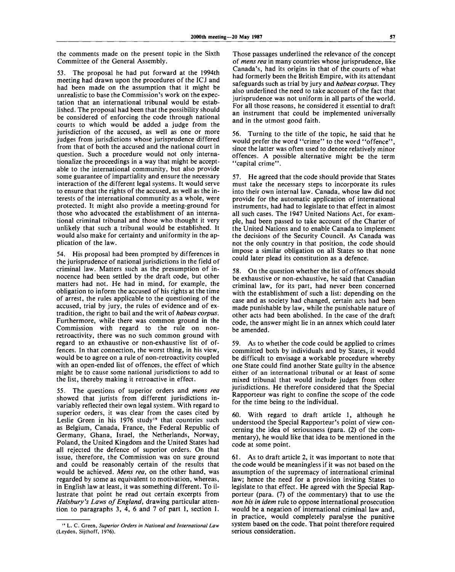the comments made on the present topic in the Sixth Committee of the General Assembly.

53. The proposal he had put forward at the 1994th meeting had drawn upon the procedures of the ICJ and had been made on the assumption that it might be unrealistic to base the Commission's work on the expectation that an international tribunal would be established. The proposal had been that the possibility should be considered of enforcing the code through national courts to which would be added a judge from the jurisdiction of the accused, as well as one or more judges from jurisdictions whose jurisprudence differed from that of both the accused and the national court in question. Such a procedure would not only internationalize the proceedings in a way that might be acceptable to the international community, but also provide some guarantee of impartiality and ensure the necessary interaction of the different legal systems. It would serve to ensure that the rights of the accused, as well as the interests of the international community as a whole, were protected. It might also provide a meeting-ground for those who advocated the establishment of an international criminal tribunal and those who thought it very unlikely that such a tribunal would be established. It would also make for certainty and uniformity in the application of the law.

54. His proposal had been prompted by differences in the jurisprudence of national jurisdictions in the field of criminal law. Matters such as the presumption of innocence had been settled by the draft code, but other matters had not. He had in mind, for example, the obligation to inform the accused of his rights at the time of arrest, the rules applicable to the questioning of the accused, trial by jury, the rules of evidence and of extradition, the right to bail and the writ of *habeas corpus.* Furthermore, while there was common ground in the Commission with regard to the rule on nonretroactivity, there was no such common ground with regard to an exhaustive or non-exhaustive list of offences. In that connection, the worst thing, in his view, would be to agree on a rule of non-retroactivity coupled with an open-ended list of offences, the effect of which might be to cause some national jurisdictions to add to the list, thereby making it retroactive in effect.

55. The questions of superior orders and *mens rea* showed that jurists from different jurisdictions invariably reflected their own legal system. With regard to superior orders, it was clear from the cases cited by Leslie Green in his 1976 study" that countries such as Belgium, Canada, France, the Federal Republic of Germany, Ghana, Israel, the Netherlands, Norway, Poland, the United Kingdom and the United States had all rejected the defence of superior orders. On that issue, therefore, the Commission was on sure ground and could be reasonably certain of the results that would be achieved. *Mens rea,* on the other hand, was regarded by some as equivalent to motivation, whereas, in English law at least, it was something different. To illustrate that point he read out certain excerpts from *Halsbury's Laws of England,* drawing particular attention to paragraphs 3, 4, 6 and 7 of part I, section I.

Those passages underlined the relevance of the concept of *mens rea* in many countries whose jurisprudence, like Canada's, had its origins in that of the courts of what had formerly been the British Empire, with its attendant safeguards such as trial by jury and *habeas corpus.* They also underlined the need to take account of the fact that jurisprudence was not uniform in all parts of the world. For all those reasons, he considered it essential to draft an instrument that could be implemented universally and in the utmost good faith.

56. Turning to the title of the topic, he said that he would prefer the word "crime" to the word "offence", since the latter was often used to denote relatively minor offences. A possible alternative might be the term "capital crime".

57. He agreed that the code should provide that States must take the necessary steps to incorporate its rules into their own internal law. Canada, whose law did not provide for the automatic application of international instruments, had had to legislate to that effect in almost all such cases. The 1947 United Nations Act, for example, had been passed to take account of the Charter of the United Nations and to enable Canada to implement the decisions of the Security Council. As Canada was not the only country in that position, the code should impose a similar obligation on all States so that none could later plead its constitution as a defence.

58. On the question whether the list of offences should be exhaustive or non-exhaustive, he said that Canadian criminal law, for its part, had never been concerned with the establishment of such a list: depending on the case and as society had changed, certain acts had been made punishable by law, while the punishable nature of other acts had been abolished. In the case of the draft code, the answer might lie in an annex which could later be amended.

59. As to whether the code could be applied to crimes committed both by individuals and by States, it would be difficult to envisage a workable procedure whereby one State could find another State guilty in the absence either of an international tribunal or at least of some mixed tribunal that would include judges from other jurisdictions. He therefore considered that the Special Rapporteur was right to confine the scope of the code for the time being to the individual.

60. With regard to draft article 1, although he understood the Special Rapporteur's point of view concerning the idea of seriousness (para. (2) of the commentary), he would like that idea to be mentioned in the code at some point.

61. As to draft article 2, it was important to note that the code would be meaningless if it was not based on the assumption of the supremacy of international criminal law; hence the need for a provision inviting States to legislate to that effect. He agreed with the Special Rapporteur (para. (7) of the commentary) that to use the *non bis in idem* rule to oppose international prosecution would be a negation of international criminal law and, in practice, would completely paralyse the punitive system based on the code. That point therefore required serious consideration.

<sup>&</sup>quot; L. C. Green, *Superior Orders in National and International Law* (Leyden, Sijthoff, 1976).